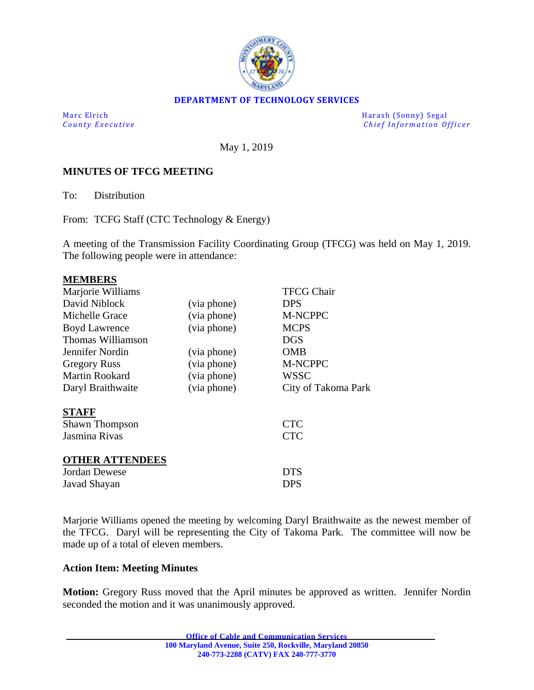

### **DEPARTMENT OF TECHNOLOGY SERVICES**

Marc Elrich Harash (Sonny) Segal<br>
County Executive Chief Information Of *Chief Information Officer* 

May 1, 2019

### **MINUTES OF TFCG MEETING**

To: Distribution

From: TCFG Staff (CTC Technology & Energy)

A meeting of the Transmission Facility Coordinating Group (TFCG) was held on May 1, 2019. The following people were in attendance:

### **MEMBERS**

| Marjorie Williams      |             | <b>TFCG Chair</b>   |
|------------------------|-------------|---------------------|
| David Niblock          | (via phone) | <b>DPS</b>          |
| Michelle Grace         | (via phone) | M-NCPPC             |
| <b>Boyd Lawrence</b>   | (via phone) | <b>MCPS</b>         |
| Thomas Williamson      |             | <b>DGS</b>          |
| Jennifer Nordin        | (via phone) | OMB                 |
| <b>Gregory Russ</b>    | (via phone) | M-NCPPC             |
| Martin Rookard         | (via phone) | <b>WSSC</b>         |
| Daryl Braithwaite      | (via phone) | City of Takoma Park |
| <b>STAFF</b>           |             |                     |
| <b>Shawn Thompson</b>  |             | <b>CTC</b>          |
| Jasmina Rivas          |             | <b>CTC</b>          |
| <b>OTHER ATTENDEES</b> |             |                     |
| Jordan Dewese          |             | <b>DTS</b>          |
| Javad Shayan           |             | <b>DPS</b>          |

Marjorie Williams opened the meeting by welcoming Daryl Braithwaite as the newest member of the TFCG. Daryl will be representing the City of Takoma Park. The committee will now be made up of a total of eleven members.

#### **Action Item: Meeting Minutes**

**Motion:** Gregory Russ moved that the April minutes be approved as written. Jennifer Nordin seconded the motion and it was unanimously approved.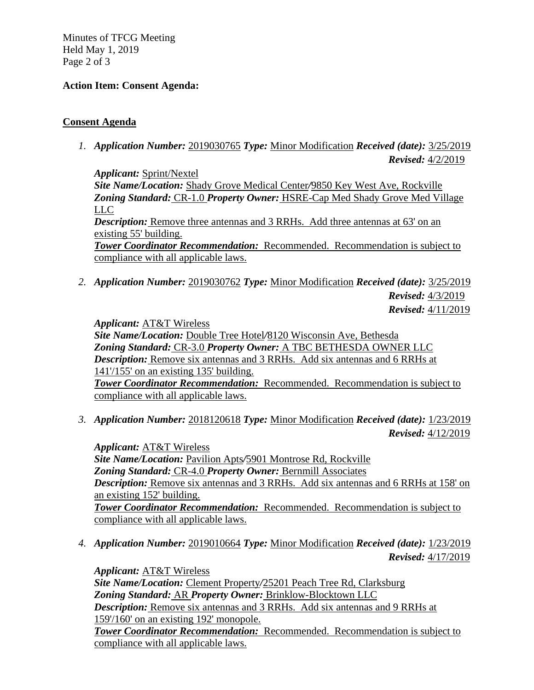Minutes of TFCG Meeting Held May 1, 2019 Page 2 of 3

# **Action Item: Consent Agenda:**

# **Consent Agenda**

*1. Application Number:* 2019030765 *Type:* Minor Modification *Received (date):* 3/25/2019 *Revised:* 4/2/2019

*Applicant:* Sprint/Nextel *Site Name/Location:* Shady Grove Medical Center*/*9850 Key West Ave, Rockville *Zoning Standard:* CR-1.0 *Property Owner:* HSRE-Cap Med Shady Grove Med Village LLC *Description:* Remove three antennas and 3 RRHs. Add three antennas at 63' on an existing 55' building. *Tower Coordinator Recommendation:* Recommended. Recommendation is subject to compliance with all applicable laws.

*2. Application Number:* 2019030762 *Type:* Minor Modification *Received (date):* 3/25/2019 *Revised:* 4/3/2019 *Revised:* 4/11/2019

*Applicant:* AT&T Wireless

*Site Name/Location:* Double Tree Hotel*/*8120 Wisconsin Ave, Bethesda *Zoning Standard:* CR-3.0 *Property Owner:* A TBC BETHESDA OWNER LLC *Description:* Remove six antennas and 3 RRHs. Add six antennas and 6 RRHs at 141'/155' on an existing 135' building. *Tower Coordinator Recommendation:* Recommended. Recommendation is subject to compliance with all applicable laws.

*3. Application Number:* 2018120618 *Type:* Minor Modification *Received (date):* 1/23/2019 *Revised:* 4/12/2019

*Applicant:* AT&T Wireless *Site Name/Location:* Pavilion Apts*/*5901 Montrose Rd, Rockville *Zoning Standard:* CR-4.0 *Property Owner:* Bernmill Associates *Description:* Remove six antennas and 3 RRHs. Add six antennas and 6 RRHs at 158' on an existing 152' building. *Tower Coordinator Recommendation:* Recommended. Recommendation is subject to compliance with all applicable laws.

*4. Application Number:* 2019010664 *Type:* Minor Modification *Received (date):* 1/23/2019 *Revised:* 4/17/2019

*Applicant:* AT&T Wireless *Site Name/Location:* Clement Property*/*25201 Peach Tree Rd, Clarksburg *Zoning Standard:* AR *Property Owner:* Brinklow-Blocktown LLC *Description:* Remove six antennas and 3 RRHs. Add six antennas and 9 RRHs at 159'/160' on an existing 192' monopole. *Tower Coordinator Recommendation:* Recommended. Recommendation is subject to compliance with all applicable laws.